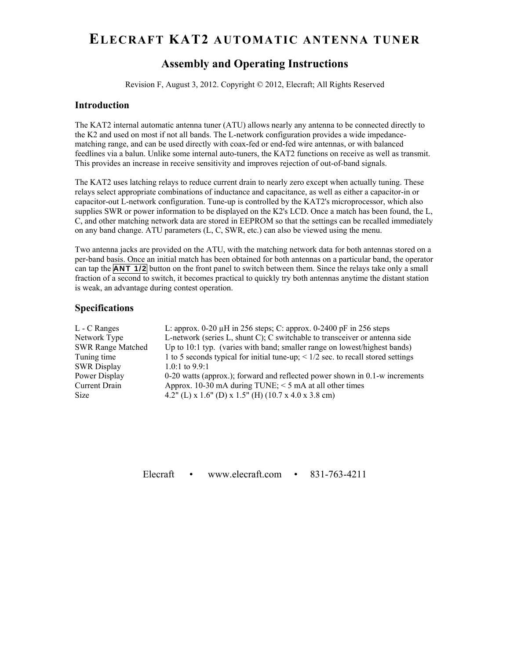# **ELECRAFT KAT2 AUTOMATIC ANTENNA TUNER**

# **Assembly and Operating Instructions**

Revision F, August 3, 2012. Copyright © 2012, Elecraft; All Rights Reserved

## **Introduction**

The KAT2 internal automatic antenna tuner (ATU) allows nearly any antenna to be connected directly to the K2 and used on most if not all bands. The L-network configuration provides a wide impedancematching range, and can be used directly with coax-fed or end-fed wire antennas, or with balanced feedlines via a balun. Unlike some internal auto-tuners, the KAT2 functions on receive as well as transmit. This provides an increase in receive sensitivity and improves rejection of out-of-band signals.

The KAT2 uses latching relays to reduce current drain to nearly zero except when actually tuning. These relays select appropriate combinations of inductance and capacitance, as well as either a capacitor-in or capacitor-out L-network configuration. Tune-up is controlled by the KAT2's microprocessor, which also supplies SWR or power information to be displayed on the K2's LCD. Once a match has been found, the L, C, and other matching network data are stored in EEPROM so that the settings can be recalled immediately on any band change. ATU parameters (L, C, SWR, etc.) can also be viewed using the menu.

Two antenna jacks are provided on the ATU, with the matching network data for both antennas stored on a per-band basis. Once an initial match has been obtained for both antennas on a particular band, the operator can tap the **ANT 1/2** button on the front panel to switch between them. Since the relays take only a small fraction of a second to switch, it becomes practical to quickly try both antennas anytime the distant station is weak, an advantage during contest operation.

### **Specifications**

| L: approx. $0-20 \mu$ H in 256 steps; C: approx. $0-2400 \mu$ F in 256 steps          |
|---------------------------------------------------------------------------------------|
| L-network (series L, shunt C); C switchable to transceiver or antenna side            |
| Up to 10:1 typ. (varies with band; smaller range on lowest/highest bands)             |
| 1 to 5 seconds typical for initial tune-up; $\leq$ 1/2 sec. to recall stored settings |
| 1.0:1 to $9.9:1$                                                                      |
| $0-20$ watts (approx.); forward and reflected power shown in $0.1$ -w increments      |
| Approx. 10-30 mA during TUNE; $\leq$ 5 mA at all other times                          |
| 4.2" (L) x 1.6" (D) x 1.5" (H) (10.7 x 4.0 x 3.8 cm)                                  |
|                                                                                       |

Elecraft • www.elecraft.com • 831-763-4211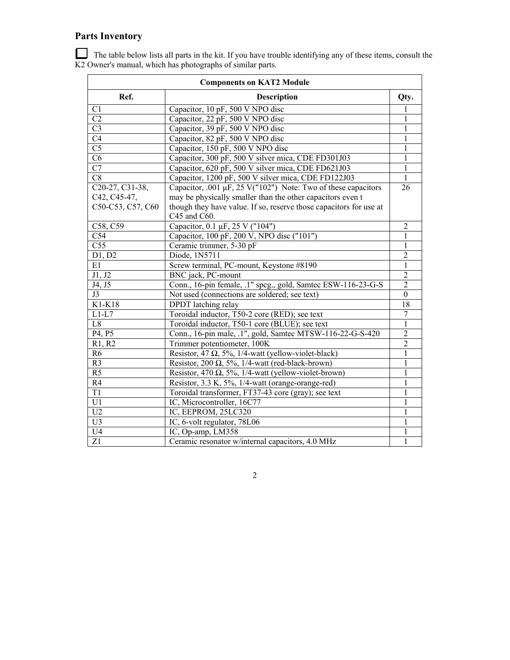# **Parts Inventory**

 The table below lists all parts in the kit. If you have trouble identifying any of these items, consult the K2 Owner's manual, which has photographs of similar parts.

| <b>Components on KAT2 Module</b> |                                                                    |                  |  |
|----------------------------------|--------------------------------------------------------------------|------------------|--|
| Ref.                             | <b>Description</b>                                                 | Qty.             |  |
| C1                               | Capacitor, 10 pF, 500 V NPO disc                                   |                  |  |
| C <sub>2</sub>                   | Capacitor, 22 pF, 500 V NPO disc                                   | 1                |  |
| $\overline{C}3$                  | Capacitor, 39 pF, 500 V NPO disc                                   | 1                |  |
| C <sub>4</sub>                   | Capacitor, 82 pF, 500 V NPO disc                                   | 1                |  |
| C <sub>5</sub>                   | Capacitor, 150 pF, 500 V NPO disc                                  | 1                |  |
| C6                               | Capacitor, 300 pF, 500 V silver mica, CDE FD301J03                 | 1                |  |
| $\overline{C7}$                  | Capacitor, 620 pF, 500 V silver mica, CDE FD621J03                 | 1                |  |
| C8                               | Capacitor, 1200 pF, 500 V silver mica, CDE FD122J03                | $\mathbf{1}$     |  |
| C20-27, C31-38,                  | Capacitor, .001 $\mu$ F, 25 V("102") Note: Two of these capacitors | 26               |  |
| C42, C45-47,                     | may be physically smaller than the other capacitors even t         |                  |  |
| C50-C53, C57, C60                | though they have value. If so, reserve those capacitors for use at |                  |  |
|                                  | C45 and C60.                                                       |                  |  |
| C58, C59                         | Capacitor, 0.1 µF, 25 V ("104")                                    | $\overline{2}$   |  |
| C54                              | Capacitor, 100 pF, 200 V, NPO disc ("101")                         | 1                |  |
| C <sub>55</sub>                  | Ceramic trimmer, 5-30 pF                                           | 1                |  |
| D1, D2                           | Diode, 1N5711                                                      | $\overline{2}$   |  |
| E1                               | Screw terminal, PC-mount, Keystone #8190                           | 1                |  |
| J1, J2                           | BNC jack, PC-mount                                                 | $\overline{2}$   |  |
| J4, J5                           | Conn., 16-pin female, .1" spcg., gold, Samtec ESW-116-23-G-S       | $\overline{2}$   |  |
| J3                               | Not used (connections are soldered; see text)                      | $\boldsymbol{0}$ |  |
| K1-K18                           | DPDT latching relay                                                | 18               |  |
| $L1-L7$                          | Toroidal inductor, T50-2 core (RED); see text                      | 7                |  |
| L8                               | Toroidal inductor, T50-1 core (BLUE); see text                     | 1                |  |
| P4, P5                           | Conn., 16-pin male, .1", gold, Samtec MTSW-116-22-G-S-420          | $\overline{2}$   |  |
| R1, R2                           | Trimmer potentiometer, 100K                                        | $\overline{2}$   |  |
| R <sub>6</sub>                   | Resistor, 47 $\Omega$ , 5%, 1/4-watt (yellow-violet-black)         | 1                |  |
| R <sub>3</sub>                   | Resistor, 200 $\Omega$ , 5%, 1/4-watt (red-black-brown)            | 1                |  |
| R <sub>5</sub>                   | Resistor, 470 $\Omega$ , 5%, 1/4-watt (yellow-violet-brown)        | 1                |  |
| R4                               | Resistor, 3.3 K, 5%, 1/4-watt (orange-orange-red)                  | $\mathbf{1}$     |  |
| T1                               | Toroidal transformer, FT37-43 core (gray); see text                | 1                |  |
| U1                               | IC, Microcontroller, 16C77                                         | 1                |  |
| U <sub>2</sub>                   | IC, EEPROM, 25LC320                                                | 1                |  |
| U3                               | IC, 6-volt regulator, 78L06                                        | 1                |  |
| U <sub>4</sub>                   | IC, Op-amp, LM358                                                  |                  |  |
| Z1                               | Ceramic resonator w/internal capacitors, 4.0 MHz                   | $\mathbf{1}$     |  |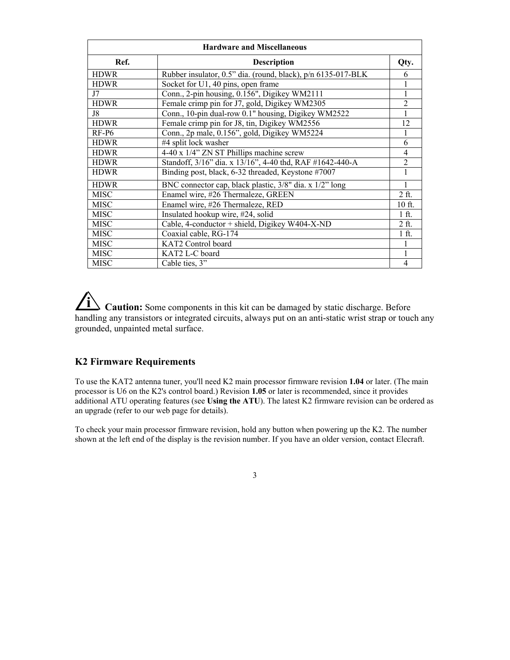| <b>Hardware and Miscellaneous</b> |                                                              |                |  |
|-----------------------------------|--------------------------------------------------------------|----------------|--|
| Ref.                              | <b>Description</b>                                           | Qty.           |  |
| <b>HDWR</b>                       | Rubber insulator, 0.5" dia. (round, black), p/n 6135-017-BLK | 6              |  |
| <b>HDWR</b>                       | Socket for U1, 40 pins, open frame                           |                |  |
| J7                                | Conn., 2-pin housing, 0.156", Digikey WM2111                 |                |  |
| <b>HDWR</b>                       | Female crimp pin for J7, gold, Digikey WM2305                | 2              |  |
| J8                                | Conn., 10-pin dual-row 0.1" housing, Digikey WM2522          |                |  |
| <b>HDWR</b>                       | Female crimp pin for J8, tin, Digikey WM2556                 | 12             |  |
| RF-P6                             | Conn., 2p male, 0.156", gold, Digikey WM5224                 |                |  |
| <b>HDWR</b>                       | #4 split lock washer                                         | 6              |  |
| <b>HDWR</b>                       | 4-40 x 1/4" ZN ST Phillips machine screw                     | 4              |  |
| <b>HDWR</b>                       | Standoff, 3/16" dia. x 13/16", 4-40 thd, RAF #1642-440-A     | $\overline{2}$ |  |
| <b>HDWR</b>                       | Binding post, black, 6-32 threaded, Keystone #7007           |                |  |
| <b>HDWR</b>                       | BNC connector cap, black plastic, 3/8" dia. x 1/2" long      |                |  |
| <b>MISC</b>                       | Enamel wire, #26 Thermaleze, GREEN                           | $2$ ft.        |  |
| <b>MISC</b>                       | Enamel wire, #26 Thermaleze, RED                             | 10 ft.         |  |
| <b>MISC</b>                       | Insulated hookup wire, #24, solid                            | $1$ ft.        |  |
| <b>MISC</b>                       | Cable, 4-conductor + shield, Digikey W404-X-ND               | $2$ ft.        |  |
| <b>MISC</b>                       | Coaxial cable, RG-174                                        | $1$ ft.        |  |
| <b>MISC</b>                       | KAT2 Control board                                           |                |  |
| <b>MISC</b>                       | KAT2 L-C board                                               |                |  |
| <b>MISC</b>                       | Cable ties, 3"                                               | $\overline{4}$ |  |

**i Caution:** Some components in this kit can be damaged by static discharge. Before handling any transistors or integrated circuits, always put on an anti-static wrist strap or touch any grounded, unpainted metal surface.

# **K2 Firmware Requirements**

To use the KAT2 antenna tuner, you'll need K2 main processor firmware revision **1.04** or later. (The main processor is U6 on the K2's control board.) Revision **1.05** or later is recommended, since it provides additional ATU operating features (see **Using the ATU**). The latest K2 firmware revision can be ordered as an upgrade (refer to our web page for details).

To check your main processor firmware revision, hold any button when powering up the K2. The number shown at the left end of the display is the revision number. If you have an older version, contact Elecraft.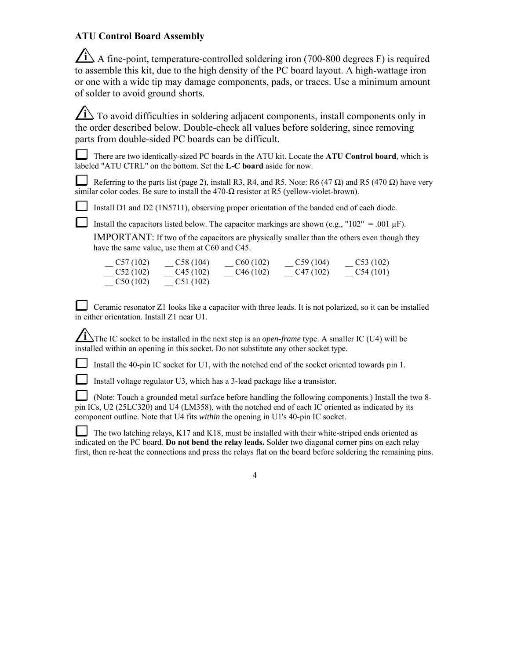# **ATU Control Board Assembly**

 $\angle$ **i** A fine-point, temperature-controlled soldering iron (700-800 degrees F) is required to assemble this kit, due to the high density of the PC board layout. A high-wattage iron or one with a wide tip may damage components, pads, or traces. Use a minimum amount of solder to avoid ground shorts.

**i** To avoid difficulties in soldering adjacent components, install components only in the order described below. Double-check all values before soldering, since removing parts from double-sided PC boards can be difficult.

There are two identically-sized PC boards in the ATU kit. Locate the **ATU Control board**, which is labeled "ATU CTRL" on the bottom. Set the **L-C board** aside for now.

Referring to the parts list (page 2), install R3, R4, and R5. Note: R6 (47  $\Omega$ ) and R5 (470  $\Omega$ ) have very similar color codes. Be sure to install the  $470-\Omega$  resistor at R5 (yellow-violet-brown).

Install D1 and D2 (1N5711), observing proper orientation of the banded end of each diode.

Install the capacitors listed below. The capacitor markings are shown (e.g., "102" = .001  $\mu$ F).

IMPORTANT: If two of the capacitors are physically smaller than the others even though they have the same value, use them at C60 and C45.

| C57(102) | C58(104) | C60(102) | C59(104) | C53(102) |
|----------|----------|----------|----------|----------|
| C52(102) | C45(102) | C46(102) | C47(102) | C54(101) |
| C50(102) | C51(102) |          |          |          |

 Ceramic resonator Z1 looks like a capacitor with three leads. It is not polarized, so it can be installed in either orientation. Install Z1 near U1.

 $\sum$  The IC socket to be installed in the next step is an *open-frame* type. A smaller IC (U4) will be installed within an opening in this socket. Do not substitute any other socket type.

Install the 40-pin IC socket for U1, with the notched end of the socket oriented towards pin 1.

Install voltage regulator U3, which has a 3-lead package like a transistor.

 (Note: Touch a grounded metal surface before handling the following components.) Install the two 8 pin ICs, U2 (25LC320) and U4 (LM358), with the notched end of each IC oriented as indicated by its component outline. Note that U4 fits *within* the opening in U1's 40-pin IC socket.

The two latching relays, K17 and K18, must be installed with their white-striped ends oriented as indicated on the PC board. **Do not bend the relay leads.** Solder two diagonal corner pins on each relay first, then re-heat the connections and press the relays flat on the board before soldering the remaining pins.

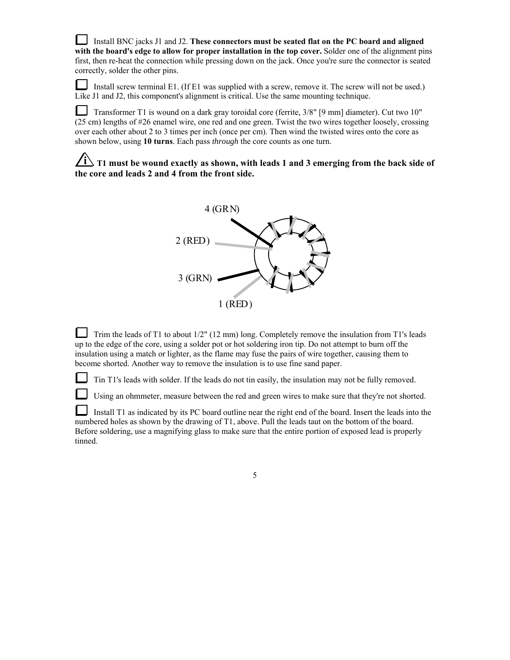Install BNC jacks J1 and J2. **These connectors must be seated flat on the PC board and aligned with the board's edge to allow for proper installation in the top cover.** Solder one of the alignment pins first, then re-heat the connection while pressing down on the jack. Once you're sure the connector is seated correctly, solder the other pins.

Install screw terminal E1. (If E1 was supplied with a screw, remove it. The screw will not be used.) Like J1 and J2, this component's alignment is critical. Use the same mounting technique.

 Transformer T1 is wound on a dark gray toroidal core (ferrite, 3/8" [9 mm] diameter). Cut two 10" (25 cm) lengths of #26 enamel wire, one red and one green. Twist the two wires together loosely, crossing over each other about 2 to 3 times per inch (once per cm). Then wind the twisted wires onto the core as shown below, using **10 turns**. Each pass *through* the core counts as one turn.

**i T1 must be wound exactly as shown, with leads 1 and 3 emerging from the back side of the core and leads 2 and 4 from the front side.**



 Trim the leads of T1 to about 1/2" (12 mm) long. Completely remove the insulation from T1's leads up to the edge of the core, using a solder pot or hot soldering iron tip. Do not attempt to burn off the insulation using a match or lighter, as the flame may fuse the pairs of wire together, causing them to become shorted. Another way to remove the insulation is to use fine sand paper.

Tin T1's leads with solder. If the leads do not tin easily, the insulation may not be fully removed.

Using an ohmmeter, measure between the red and green wires to make sure that they're not shorted.

L Install T1 as indicated by its PC board outline near the right end of the board. Insert the leads into the numbered holes as shown by the drawing of T1, above. Pull the leads taut on the bottom of the board. Before soldering, use a magnifying glass to make sure that the entire portion of exposed lead is properly tinned.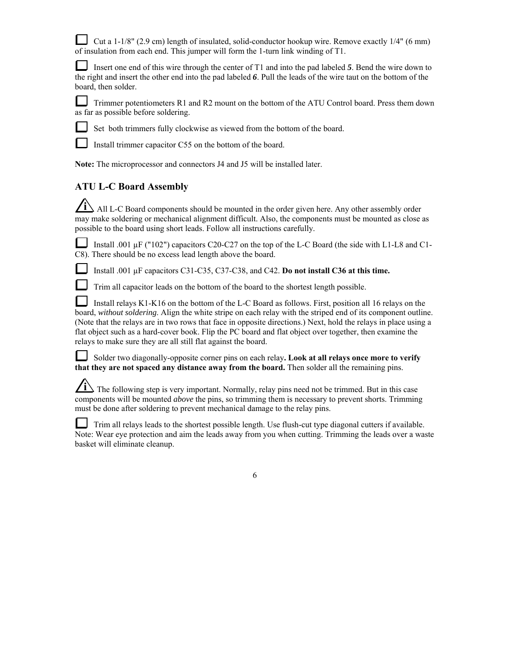Cut a 1-1/8" (2.9 cm) length of insulated, solid-conductor hookup wire. Remove exactly  $1/4$ " (6 mm) of insulation from each end. This jumper will form the 1-turn link winding of T1.

Insert one end of this wire through the center of T1 and into the pad labeled 5. Bend the wire down to the right and insert the other end into the pad labeled *6*. Pull the leads of the wire taut on the bottom of the board, then solder.

 Trimmer potentiometers R1 and R2 mount on the bottom of the ATU Control board. Press them down as far as possible before soldering.



Set both trimmers fully clockwise as viewed from the bottom of the board.

Install trimmer capacitor C55 on the bottom of the board.

**Note:** The microprocessor and connectors J4 and J5 will be installed later.

# **ATU L-C Board Assembly**

All L-C Board components should be mounted in the order given here. Any other assembly order may make soldering or mechanical alignment difficult. Also, the components must be mounted as close as possible to the board using short leads. Follow all instructions carefully.

Install .001 µF ("102") capacitors C20-C27 on the top of the L-C Board (the side with L1-L8 and C1-C8). There should be no excess lead length above the board.

Install .001 µF capacitors C31-C35, C37-C38, and C42. **Do not install C36 at this time.**



Trim all capacitor leads on the bottom of the board to the shortest length possible.

 Install relays K1-K16 on the bottom of the L-C Board as follows. First, position all 16 relays on the board, *without soldering*. Align the white stripe on each relay with the striped end of its component outline. (Note that the relays are in two rows that face in opposite directions.) Next, hold the relays in place using a flat object such as a hard-cover book. Flip the PC board and flat object over together, then examine the relays to make sure they are all still flat against the board.

 Solder two diagonally-opposite corner pins on each relay**. Look at all relays once more to verify that they are not spaced any distance away from the board.** Then solder all the remaining pins.

**i** The following step is very important. Normally, relay pins need not be trimmed. But in this case components will be mounted *above* the pins, so trimming them is necessary to prevent shorts. Trimming must be done after soldering to prevent mechanical damage to the relay pins.

Trim all relays leads to the shortest possible length. Use flush-cut type diagonal cutters if available. Note: Wear eye protection and aim the leads away from you when cutting. Trimming the leads over a waste basket will eliminate cleanup.

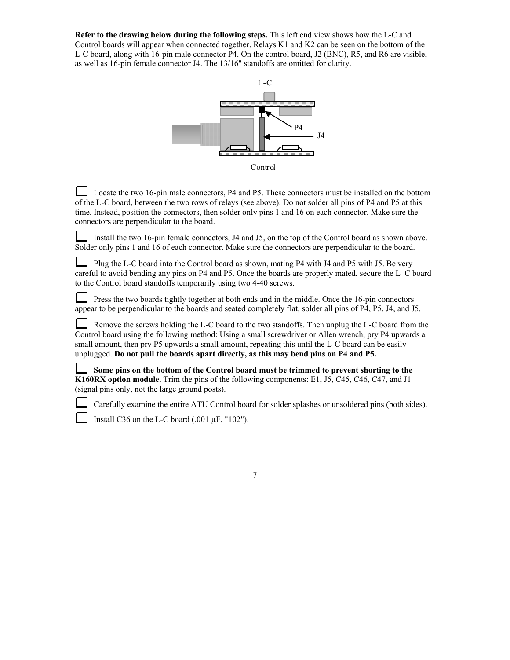**Refer to the drawing below during the following steps.** This left end view shows how the L-C and Control boards will appear when connected together. Relays K1 and K2 can be seen on the bottom of the L-C board, along with 16-pin male connector P4. On the control board, J2 (BNC), R5, and R6 are visible, as well as 16-pin female connector J4. The 13/16" standoffs are omitted for clarity.



Control

 Locate the two 16-pin male connectors, P4 and P5. These connectors must be installed on the bottom of the L-C board, between the two rows of relays (see above). Do not solder all pins of P4 and P5 at this time. Instead, position the connectors, then solder only pins 1 and 16 on each connector. Make sure the connectors are perpendicular to the board.

Install the two 16-pin female connectors, J4 and J5, on the top of the Control board as shown above. Solder only pins 1 and 16 of each connector. Make sure the connectors are perpendicular to the board.

 Plug the L-C board into the Control board as shown, mating P4 with J4 and P5 with J5. Be very careful to avoid bending any pins on P4 and P5. Once the boards are properly mated, secure the L–C board to the Control board standoffs temporarily using two 4-40 screws.

 Press the two boards tightly together at both ends and in the middle. Once the 16-pin connectors appear to be perpendicular to the boards and seated completely flat, solder all pins of P4, P5, J4, and J5.

 Remove the screws holding the L-C board to the two standoffs. Then unplug the L-C board from the Control board using the following method: Using a small screwdriver or Allen wrench, pry P4 upwards a small amount, then pry P5 upwards a small amount, repeating this until the L-C board can be easily unplugged. **Do not pull the boards apart directly, as this may bend pins on P4 and P5.**

**Some pins on the bottom of the Control board must be trimmed to prevent shorting to the K160RX option module.** Trim the pins of the following components: E1, J5, C45, C46, C47, and J1 (signal pins only, not the large ground posts).

Carefully examine the entire ATU Control board for solder splashes or unsoldered pins (both sides).

Install C36 on the L-C board (.001 µF, "102").

| i |  |
|---|--|
|   |  |
|   |  |
|   |  |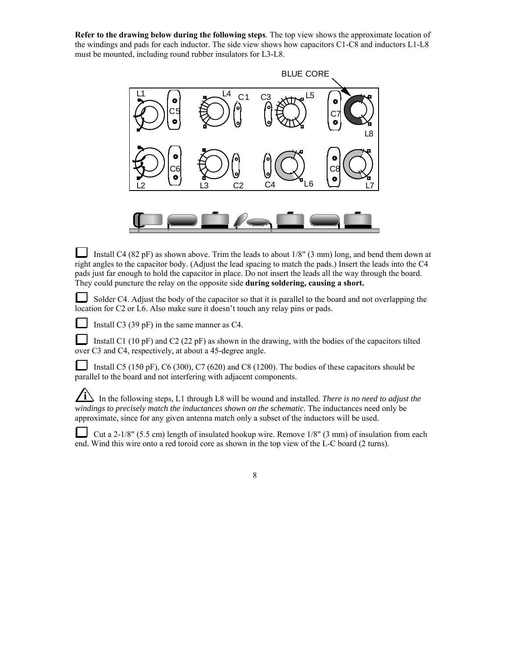**Refer to the drawing below during the following steps**. The top view shows the approximate location of the windings and pads for each inductor. The side view shows how capacitors C1-C8 and inductors L1-L8 must be mounted, including round rubber insulators for L3-L8.



 Install C4 (82 pF) as shown above. Trim the leads to about 1/8" (3 mm) long, and bend them down at right angles to the capacitor body. (Adjust the lead spacing to match the pads.) Insert the leads into the C4 pads just far enough to hold the capacitor in place. Do not insert the leads all the way through the board. They could puncture the relay on the opposite side **during soldering, causing a short.**

⊔ Solder C4. Adjust the body of the capacitor so that it is parallel to the board and not overlapping the location for C2 or L6. Also make sure it doesn't touch any relay pins or pads.

Install C3 (39 pF) in the same manner as C4.

 Install C1 (10 pF) and C2 (22 pF) as shown in the drawing, with the bodies of the capacitors tilted over C3 and C4, respectively, at about a 45-degree angle.

Install C5 (150 pF), C6 (300), C7 (620) and C8 (1200). The bodies of these capacitors should be parallel to the board and not interfering with adjacent components.

 $\angle$ **i** In the following steps, L1 through L8 will be wound and installed. *There is no need to adjust the windings to precisely match the inductances shown on the schematic.* The inductances need only be approximate, since for any given antenna match only a subset of the inductors will be used.

 Cut a 2-1/8" (5.5 cm) length of insulated hookup wire. Remove 1/8" (3 mm) of insulation from each end. Wind this wire onto a red toroid core as shown in the top view of the L-C board (2 turns).

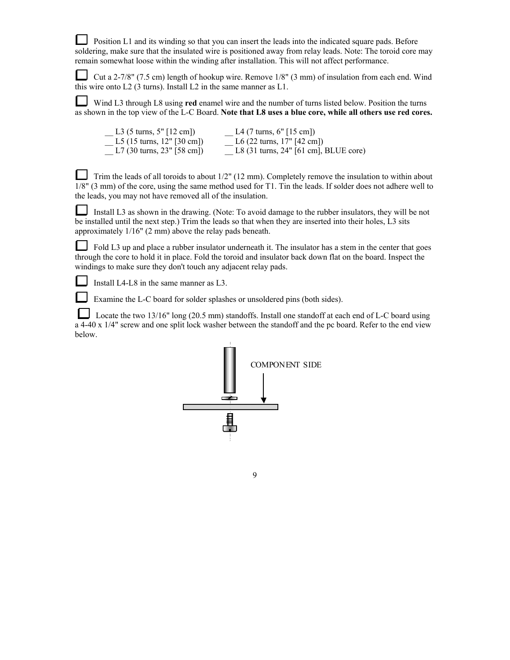**Position L1** and its winding so that you can insert the leads into the indicated square pads. Before soldering, make sure that the insulated wire is positioned away from relay leads. Note: The toroid core may remain somewhat loose within the winding after installation. This will not affect performance.

 Cut a 2-7/8" (7.5 cm) length of hookup wire. Remove 1/8" (3 mm) of insulation from each end. Wind this wire onto L2 (3 turns). Install L2 in the same manner as L1.

Wind L3 through L8 using **red** enamel wire and the number of turns listed below. Position the turns as shown in the top view of the L-C Board. **Note that L8 uses a blue core, while all others use red cores.**

| L3 $(5 \text{ turns}, 5" [12 \text{ cm}])$   | L4 (7 turns, 6" [15 cm])                                |
|----------------------------------------------|---------------------------------------------------------|
| L5 $(15 \text{ turns}, 12" [30 \text{ cm}])$ | L6 (22 turns, $17"$ [42 cm])                            |
| L7 $(30 \text{ turns}, 23"$ [58 cm])         | L8 $(31 \text{ turns}, 24" [61 \text{ cm}], BLUE core)$ |

Trim the leads of all toroids to about  $1/2$ " (12 mm). Completely remove the insulation to within about 1/8" (3 mm) of the core, using the same method used for T1. Tin the leads. If solder does not adhere well to the leads, you may not have removed all of the insulation.

 Install L3 as shown in the drawing. (Note: To avoid damage to the rubber insulators, they will be not be installed until the next step.) Trim the leads so that when they are inserted into their holes, L3 sits approximately 1/16" (2 mm) above the relay pads beneath.

Fold L3 up and place a rubber insulator underneath it. The insulator has a stem in the center that goes through the core to hold it in place. Fold the toroid and insulator back down flat on the board. Inspect the windings to make sure they don't touch any adjacent relay pads.

Install L4-L8 in the same manner as L3.

Examine the L-C board for solder splashes or unsoldered pins (both sides).

Locate the two 13/16" long (20.5 mm) standoffs. Install one standoff at each end of L-C board using a 4-40 x 1/4" screw and one split lock washer between the standoff and the pc board. Refer to the end view below.

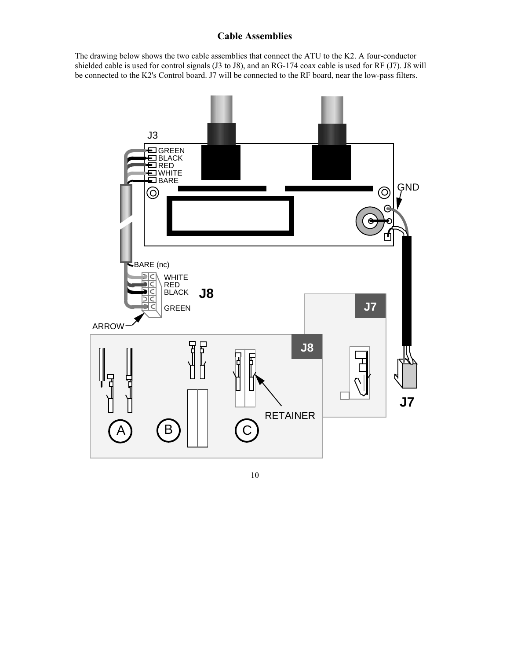# **Cable Assemblies**

The drawing below shows the two cable assemblies that connect the ATU to the K2. A four-conductor shielded cable is used for control signals (J3 to J8), and an RG-174 coax cable is used for RF (J7). J8 will be connected to the K2's Control board. J7 will be connected to the RF board, near the low-pass filters.

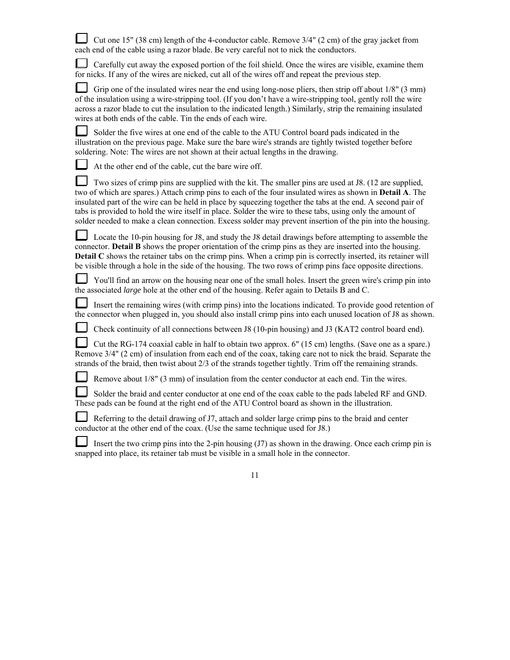| Cut one 15" (38 cm) length of the 4-conductor cable. Remove $3/4$ " (2 cm) of the gray jacket from |
|----------------------------------------------------------------------------------------------------|
| each end of the cable using a razor blade. Be very careful not to nick the conductors.             |

 Carefully cut away the exposed portion of the foil shield. Once the wires are visible, examine them for nicks. If any of the wires are nicked, cut all of the wires off and repeat the previous step.

Grip one of the insulated wires near the end using long-nose pliers, then strip off about 1/8" (3 mm) of the insulation using a wire-stripping tool. (If you don't have a wire-stripping tool, gently roll the wire across a razor blade to cut the insulation to the indicated length.) Similarly, strip the remaining insulated wires at both ends of the cable. Tin the ends of each wire.

 Solder the five wires at one end of the cable to the ATU Control board pads indicated in the illustration on the previous page. Make sure the bare wire's strands are tightly twisted together before soldering. Note: The wires are not shown at their actual lengths in the drawing.

At the other end of the cable, cut the bare wire off.

ப Two sizes of crimp pins are supplied with the kit. The smaller pins are used at J8. (12 are supplied, two of which are spares.) Attach crimp pins to each of the four insulated wires as shown in **Detail A**. The insulated part of the wire can be held in place by squeezing together the tabs at the end. A second pair of tabs is provided to hold the wire itself in place. Solder the wire to these tabs, using only the amount of solder needed to make a clean connection. Excess solder may prevent insertion of the pin into the housing.

 Locate the 10-pin housing for J8, and study the J8 detail drawings before attempting to assemble the connector. **Detail B** shows the proper orientation of the crimp pins as they are inserted into the housing. **Detail C** shows the retainer tabs on the crimp pins. When a crimp pin is correctly inserted, its retainer will be visible through a hole in the side of the housing. The two rows of crimp pins face opposite directions.

L You'll find an arrow on the housing near one of the small holes. Insert the green wire's crimp pin into the associated *large* hole at the other end of the housing. Refer again to Details B and C.

Insert the remaining wires (with crimp pins) into the locations indicated. To provide good retention of the connector when plugged in, you should also install crimp pins into each unused location of J8 as shown.

Check continuity of all connections between J8 (10-pin housing) and J3 (KAT2 control board end).

 Cut the RG-174 coaxial cable in half to obtain two approx. 6" (15 cm) lengths. (Save one as a spare.) Remove 3/4" (2 cm) of insulation from each end of the coax, taking care not to nick the braid. Separate the strands of the braid, then twist about 2/3 of the strands together tightly. Trim off the remaining strands.

Remove about 1/8" (3 mm) of insulation from the center conductor at each end. Tin the wires.

 Solder the braid and center conductor at one end of the coax cable to the pads labeled RF and GND. These pads can be found at the right end of the ATU Control board as shown in the illustration.

 Referring to the detail drawing of J7, attach and solder large crimp pins to the braid and center conductor at the other end of the coax. (Use the same technique used for J8.)

 Insert the two crimp pins into the 2-pin housing (J7) as shown in the drawing. Once each crimp pin is snapped into place, its retainer tab must be visible in a small hole in the connector.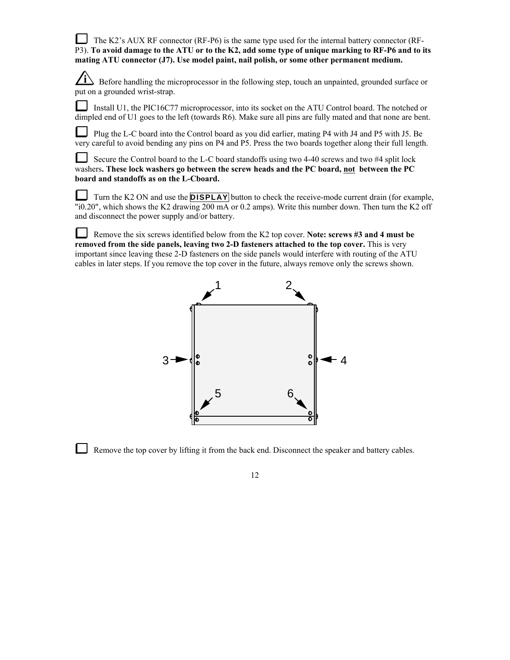The K2's AUX RF connector  $(RF-P6)$  is the same type used for the internal battery connector  $(RF-P6)$ P3). **To avoid damage to the ATU or to the K2, add some type of unique marking to RF-P6 and to its mating ATU connector (J7). Use model paint, nail polish, or some other permanent medium.**

*i* Before handling the microprocessor in the following step, touch an unpainted, grounded surface or put on a grounded wrist-strap.

Install U1, the PIC16C77 microprocessor, into its socket on the ATU Control board. The notched or dimpled end of U1 goes to the left (towards R6). Make sure all pins are fully mated and that none are bent.

Plug the L-C board into the Control board as you did earlier, mating P4 with J4 and P5 with J5. Be very careful to avoid bending any pins on P4 and P5. Press the two boards together along their full length.

 Secure the Control board to the L-C board standoffs using two 4-40 screws and two #4 split lock washers**. These lock washers go between the screw heads and the PC board, not between the PC board and standoffs as on the L-Cboard.**

Turn the K2 ON and use the **DISPLAY** button to check the receive-mode current drain (for example, "i0.20", which shows the K2 drawing 200 mA or 0.2 amps). Write this number down. Then turn the K2 off and disconnect the power supply and/or battery.

Remove the six screws identified below from the K2 top cover. **Note: screws #3 and 4 must be removed from the side panels, leaving two 2-D fasteners attached to the top cover.** This is very important since leaving these 2-D fasteners on the side panels would interfere with routing of the ATU cables in later steps. If you remove the top cover in the future, always remove only the screws shown.



Remove the top cover by lifting it from the back end. Disconnect the speaker and battery cables.

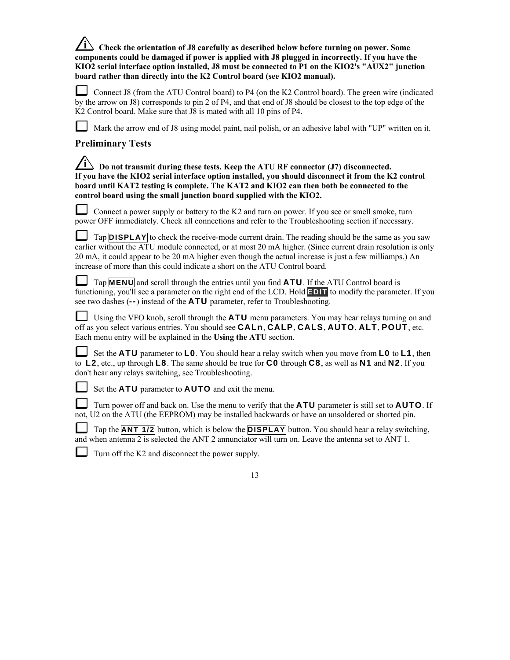**i Check the orientation of J8 carefully as described below before turning on power. Some components could be damaged if power is applied with J8 plugged in incorrectly. If you have the KIO2 serial interface option installed, J8 must be connected to P1 on the KIO2's "AUX2" junction board rather than directly into the K2 Control board (see KIO2 manual).**

 Connect J8 (from the ATU Control board) to P4 (on the K2 Control board). The green wire (indicated by the arrow on J8) corresponds to pin 2 of P4, and that end of J8 should be closest to the top edge of the K2 Control board. Make sure that J8 is mated with all 10 pins of P4.

Mark the arrow end of J8 using model paint, nail polish, or an adhesive label with "UP" written on it.

# **Preliminary Tests**

| $\angle$ i bo not transmit during these tests. Keep the ATU RF connector (J7) disconnected.          |  |
|------------------------------------------------------------------------------------------------------|--|
| If you have the KIO2 serial interface option installed, you should disconnect it from the K2 control |  |
| board until KAT2 testing is complete. The KAT2 and KIO2 can then both be connected to the            |  |
| control board using the small junction board supplied with the KIO2.                                 |  |

 Connect a power supply or battery to the K2 and turn on power. If you see or smell smoke, turn power OFF immediately. Check all connections and refer to the Troubleshooting section if necessary.

**Tap DISPLAY** to check the receive-mode current drain. The reading should be the same as you saw earlier without the ATU module connected, or at most 20 mA higher. (Since current drain resolution is only 20 mA, it could appear to be 20 mA higher even though the actual increase is just a few milliamps.) An increase of more than this could indicate a short on the ATU Control board.

 Tap **MENU** and scroll through the entries until you find **ATU**. If the ATU Control board is functioning, you'll see a parameter on the right end of the LCD. Hold **EDIT** to modify the parameter. If you see two dashes (**--**) instead of the **ATU** parameter, refer to Troubleshooting.

 Using the VFO knob, scroll through the **ATU** menu parameters. You may hear relays turning on and off as you select various entries. You should see **CALn**, **CALP**, **CALS**, **AUTO**, **ALT**, **POUT**, etc. Each menu entry will be explained in the **Using the ATU** section.

 Set the **ATU** parameter to **L0**. You should hear a relay switch when you move from **L0** to **L1**, then to **L2**, etc., up through **L8**. The same should be true for **C0** through **C8**, as well as **N1** and **N2**. If you don't hear any relays switching, see Troubleshooting.

Set the **ATU** parameter to **AUTO** and exit the menu.

 Turn power off and back on. Use the menu to verify that the **ATU** parameter is still set to **AUTO**. If not, U2 on the ATU (the EEPROM) may be installed backwards or have an unsoldered or shorted pin.

Tap the **ANT 1/2** button, which is below the **DISPLAY** button. You should hear a relay switching, and when antenna 2 is selected the ANT 2 annunciator will turn on. Leave the antenna set to ANT 1.

Turn off the K2 and disconnect the power supply.

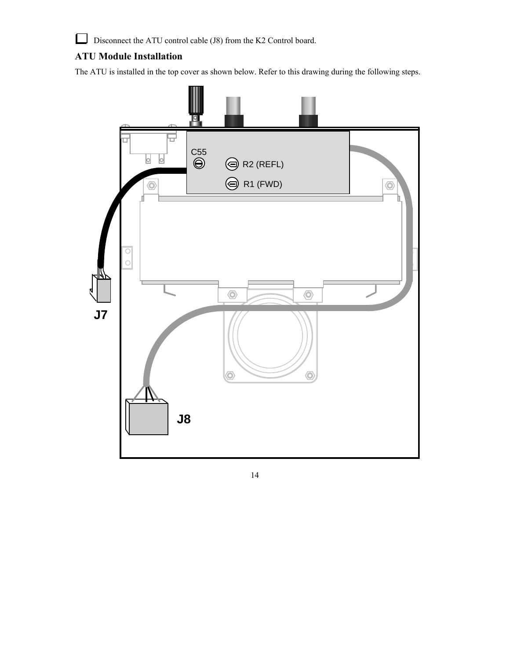$\Box$ Disconnect the ATU control cable (J8) from the K2 Control board.

# **ATU Module Installation**

The ATU is installed in the top cover as shown below. Refer to this drawing during the following steps.

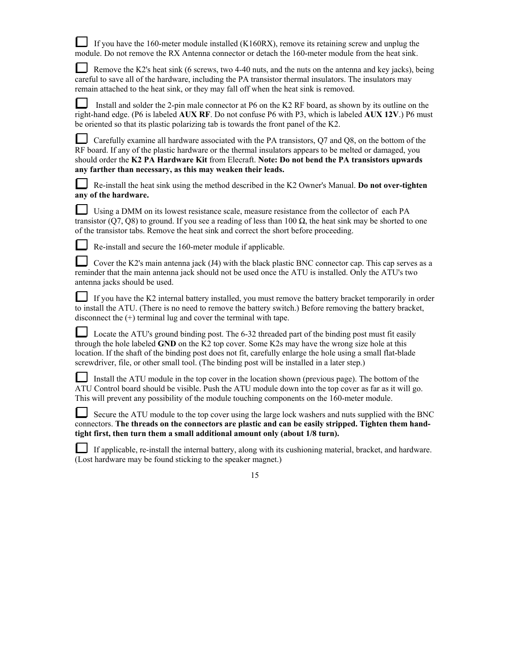If you have the 160-meter module installed (K160RX), remove its retaining screw and unplug the module. Do not remove the RX Antenna connector or detach the 160-meter module from the heat sink.

Remove the K2's heat sink (6 screws, two 4-40 nuts, and the nuts on the antenna and key jacks), being careful to save all of the hardware, including the PA transistor thermal insulators. The insulators may remain attached to the heat sink, or they may fall off when the heat sink is removed.

 Install and solder the 2-pin male connector at P6 on the K2 RF board, as shown by its outline on the right-hand edge. (P6 is labeled **AUX RF**. Do not confuse P6 with P3, which is labeled **AUX 12V**.) P6 must be oriented so that its plastic polarizing tab is towards the front panel of the K2.

 Carefully examine all hardware associated with the PA transistors, Q7 and Q8, on the bottom of the RF board. If any of the plastic hardware or the thermal insulators appears to be melted or damaged, you should order the **K2 PA Hardware Kit** from Elecraft. **Note: Do not bend the PA transistors upwards any farther than necessary, as this may weaken their leads.**

 Re-install the heat sink using the method described in the K2 Owner's Manual. **Do not over-tighten any of the hardware.**

 Using a DMM on its lowest resistance scale, measure resistance from the collector of each PA transistor (Q7, Q8) to ground. If you see a reading of less than 100  $\Omega$ , the heat sink may be shorted to one of the transistor tabs. Remove the heat sink and correct the short before proceeding.

Re-install and secure the 160-meter module if applicable.

⊔ Cover the K2's main antenna jack (J4) with the black plastic BNC connector cap. This cap serves as a reminder that the main antenna jack should not be used once the ATU is installed. Only the ATU's two antenna jacks should be used.

 If you have the K2 internal battery installed, you must remove the battery bracket temporarily in order to install the ATU. (There is no need to remove the battery switch.) Before removing the battery bracket, disconnect the  $(+)$  terminal lug and cover the terminal with tape.

 Locate the ATU's ground binding post. The 6-32 threaded part of the binding post must fit easily through the hole labeled **GND** on the K2 top cover. Some K2s may have the wrong size hole at this location. If the shaft of the binding post does not fit, carefully enlarge the hole using a small flat-blade screwdriver, file, or other small tool. (The binding post will be installed in a later step.)

Install the ATU module in the top cover in the location shown (previous page). The bottom of the ATU Control board should be visible. Push the ATU module down into the top cover as far as it will go. This will prevent any possibility of the module touching components on the 160-meter module.

Secure the ATU module to the top cover using the large lock washers and nuts supplied with the BNC connectors. **The threads on the connectors are plastic and can be easily stripped. Tighten them handtight first, then turn them a small additional amount only (about 1/8 turn).**

If applicable, re-install the internal battery, along with its cushioning material, bracket, and hardware. (Lost hardware may be found sticking to the speaker magnet.)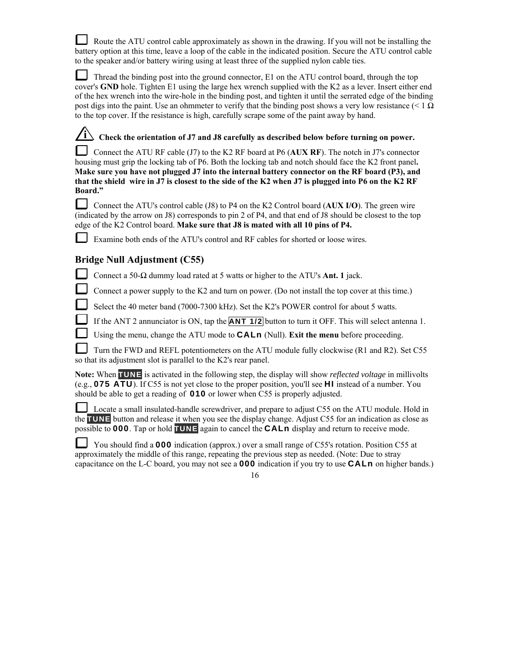Route the ATU control cable approximately as shown in the drawing. If you will not be installing the battery option at this time, leave a loop of the cable in the indicated position. Secure the ATU control cable to the speaker and/or battery wiring using at least three of the supplied nylon cable ties.

 Thread the binding post into the ground connector, E1 on the ATU control board, through the top cover's **GND** hole. Tighten E1 using the large hex wrench supplied with the K2 as a lever. Insert either end of the hex wrench into the wire-hole in the binding post, and tighten it until the serrated edge of the binding post digs into the paint. Use an ohmmeter to verify that the binding post shows a very low resistance ( $\leq 1 \Omega$ ) to the top cover. If the resistance is high, carefully scrape some of the paint away by hand.

*i* **Check the orientation of J7 and J8 carefully as described below before turning on power.** 

 Connect the ATU RF cable (J7) to the K2 RF board at P6 (**AUX RF**). The notch in J7's connector housing must grip the locking tab of P6. Both the locking tab and notch should face the K2 front panel**. Make sure you have not plugged J7 into the internal battery connector on the RF board (P3), and that the shield wire in J7 is closest to the side of the K2 when J7 is plugged into P6 on the K2 RF Board."**

 Connect the ATU's control cable (J8) to P4 on the K2 Control board (**AUX I/O**). The green wire (indicated by the arrow on J8) corresponds to pin 2 of P4, and that end of J8 should be closest to the top edge of the K2 Control board. **Make sure that J8 is mated with all 10 pins of P4.**

Examine both ends of the ATU's control and RF cables for shorted or loose wires.

# **Bridge Null Adjustment (C55)**

 $\mathsf{L}$ Connect a 50-Ω dummy load rated at 5 watts or higher to the ATU's **Ant. 1** jack.

Connect a power supply to the K2 and turn on power. (Do not install the top cover at this time.)

Select the 40 meter band (7000-7300 kHz). Set the K2's POWER control for about 5 watts.

If the ANT 2 annunciator is ON, tap the **ANT 1/2** button to turn it OFF. This will select antenna 1.

Using the menu, change the ATU mode to **CALn** (Null). **Exit the menu** before proceeding.

Turn the FWD and REFL potentiometers on the ATU module fully clockwise (R1 and R2). Set C55 so that its adjustment slot is parallel to the K2's rear panel.

**Note:** When **TUNE** is activated in the following step, the display will show *reflected voltage* in millivolts (e.g., **075 ATU**). If C55 is not yet close to the proper position, you'll see **HI** instead of a number. You should be able to get a reading of **010** or lower when C55 is properly adjusted.

 Locate a small insulated-handle screwdriver, and prepare to adjust C55 on the ATU module. Hold in the **TUNE** button and release it when you see the display change. Adjust C55 for an indication as close as possible to **000**. Tap or hold **TUNE** again to cancel the **CALn** display and return to receive mode.

 You should find a **000** indication (approx.) over a small range of C55's rotation. Position C55 at approximately the middle of this range, repeating the previous step as needed. (Note: Due to stray capacitance on the L-C board, you may not see a **000** indication if you try to use **CALn** on higher bands.)

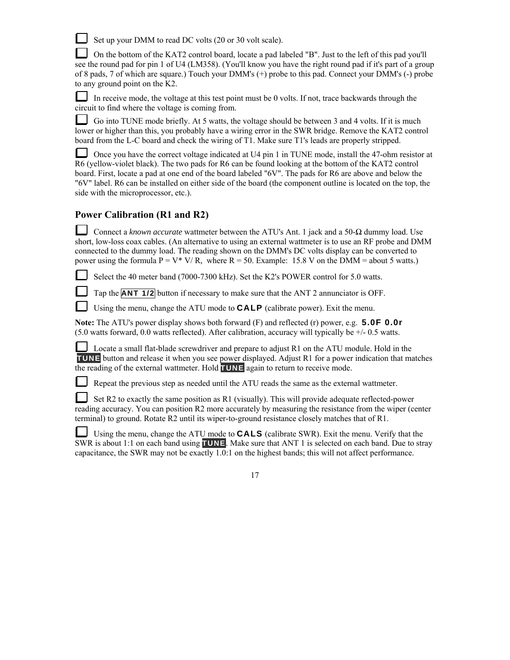Set up your DMM to read DC volts (20 or 30 volt scale).

 On the bottom of the KAT2 control board, locate a pad labeled "B". Just to the left of this pad you'll see the round pad for pin 1 of U4 (LM358). (You'll know you have the right round pad if it's part of a group of 8 pads, 7 of which are square.) Touch your DMM's (+) probe to this pad. Connect your DMM's (-) probe to any ground point on the K2.

In receive mode, the voltage at this test point must be 0 volts. If not, trace backwards through the circuit to find where the voltage is coming from.

L Go into TUNE mode briefly. At 5 watts, the voltage should be between 3 and 4 volts. If it is much lower or higher than this, you probably have a wiring error in the SWR bridge. Remove the KAT2 control board from the L-C board and check the wiring of T1. Make sure T1's leads are properly stripped.

 Once you have the correct voltage indicated at U4 pin 1 in TUNE mode, install the 47-ohm resistor at R6 (yellow-violet black). The two pads for R6 can be found looking at the bottom of the KAT2 control board. First, locate a pad at one end of the board labeled "6V". The pads for R6 are above and below the "6V" label. R6 can be installed on either side of the board (the component outline is located on the top, the side with the microprocessor, etc.).

# **Power Calibration (R1 and R2)**

 Connect a *known accurate* wattmeter between the ATU's Ant. 1 jack and a 50-Ω dummy load. Use short, low-loss coax cables. (An alternative to using an external wattmeter is to use an RF probe and DMM connected to the dummy load. The reading shown on the DMM's DC volts display can be converted to power using the formula  $P = V^* V/R$ , where  $R = 50$ . Example: 15.8 V on the DMM = about 5 watts.)

Select the 40 meter band (7000-7300 kHz). Set the K2's POWER control for 5.0 watts.

Tap the **ANT 1/2** button if necessary to make sure that the ANT 2 annunciator is OFF.

Using the menu, change the ATU mode to **CALP** (calibrate power). Exit the menu.

**Note:** The ATU's power display shows both forward (F) and reflected (r) power, e.g. **5.0F 0.0r**  (5.0 watts forward, 0.0 watts reflected). After calibration, accuracy will typically be +/- 0.5 watts.

 Locate a small flat-blade screwdriver and prepare to adjust R1 on the ATU module. Hold in the **TUNE** button and release it when you see power displayed. Adjust R1 for a power indication that matches the reading of the external wattmeter. Hold **TUNE** again to return to receive mode.

Repeat the previous step as needed until the ATU reads the same as the external wattmeter.

 Set R2 to exactly the same position as R1 (visually). This will provide adequate reflected-power reading accuracy. You can position R2 more accurately by measuring the resistance from the wiper (center terminal) to ground. Rotate R2 until its wiper-to-ground resistance closely matches that of R1.

 Using the menu, change the ATU mode to **CALS** (calibrate SWR). Exit the menu. Verify that the SWR is about 1:1 on each band using **TUNE**. Make sure that ANT 1 is selected on each band. Due to stray capacitance, the SWR may not be exactly 1.0:1 on the highest bands; this will not affect performance.

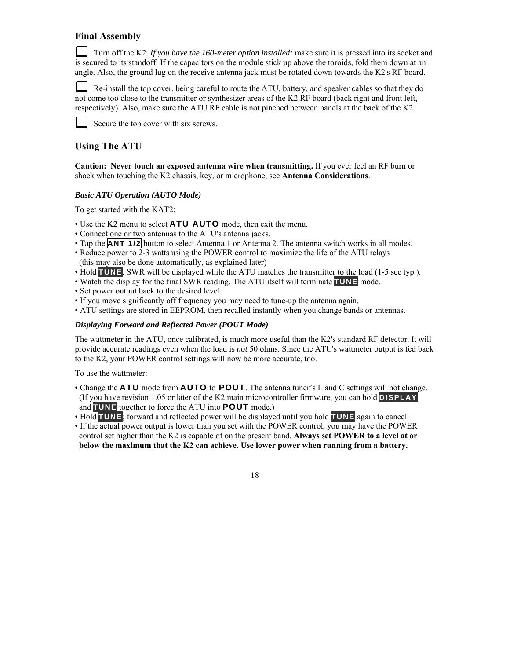# **Final Assembly**

Turn off the K2. If you have the 160-meter option installed: make sure it is pressed into its socket and is secured to its standoff. If the capacitors on the module stick up above the toroids, fold them down at an angle. Also, the ground lug on the receive antenna jack must be rotated down towards the K2's RF board.

 Re-install the top cover, being careful to route the ATU, battery, and speaker cables so that they do not come too close to the transmitter or synthesizer areas of the K2 RF board (back right and front left, respectively). Also, make sure the ATU RF cable is not pinched between panels at the back of the K2.

Secure the top cover with six screws.

# **Using The ATU**

**Caution: Never touch an exposed antenna wire when transmitting.** If you ever feel an RF burn or shock when touching the K2 chassis, key, or microphone, see **Antenna Considerations**.

### *Basic ATU Operation (AUTO Mode)*

To get started with the KAT2:

- Use the K2 menu to select **ATU AUTO** mode, then exit the menu.
- Connect one or two antennas to the ATU's antenna jacks.
- Tap the **ANT 1/2** button to select Antenna 1 or Antenna 2. The antenna switch works in all modes.
- Reduce power to 2-3 watts using the POWER control to maximize the life of the ATU relays (this may also be done automatically, as explained later)
- Hold **TUNE**. SWR will be displayed while the ATU matches the transmitter to the load (1-5 sec typ.).
- Watch the display for the final SWR reading. The ATU itself will terminate **TUNE** mode.
- Set power output back to the desired level.
- If you move significantly off frequency you may need to tune-up the antenna again.
- ATU settings are stored in EEPROM, then recalled instantly when you change bands or antennas.

### *Displaying Forward and Reflected Power (POUT Mode)*

The wattmeter in the ATU, once calibrated, is much more useful than the K2's standard RF detector. It will provide accurate readings even when the load is *not* 50 ohms. Since the ATU's wattmeter output is fed back to the K2, your POWER control settings will now be more accurate, too.

To use the wattmeter:

- Change the **ATU** mode from **AUTO** to **POUT**. The antenna tuner's L and C settings will not change. (If you have revision 1.05 or later of the K2 main microcontroller firmware, you can hold **DISPLAY** and **TUNE** together to force the ATU into **POUT** mode.)
- Hold **TUNE**; forward and reflected power will be displayed until you hold **TUNE** again to cancel.
- If the actual power output is lower than you set with the POWER control, you may have the POWER control set higher than the K2 is capable of on the present band. **Always set POWER to a level at or below the maximum that the K2 can achieve. Use lower power when running from a battery.**

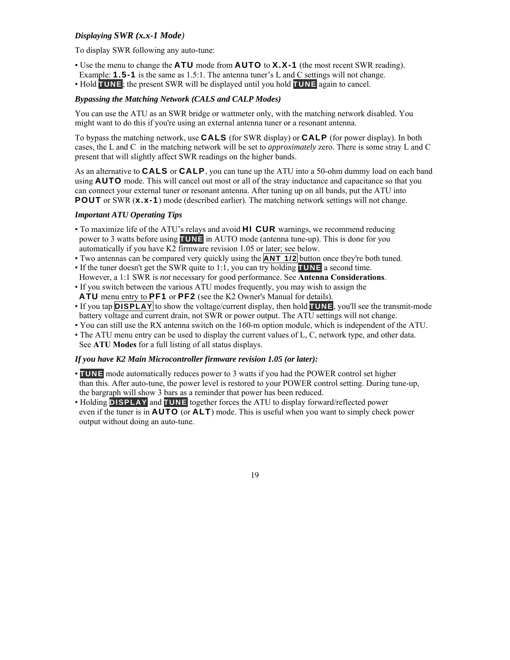### *Displaying SWR (x.x-1 Mode)*

To display SWR following any auto-tune:

- Use the menu to change the **ATU** mode from **AUTO** to **X.X-1** (the most recent SWR reading).
- Example: **1.5-1** is the same as 1.5:1. The antenna tuner's L and C settings will not change.
- Hold **TUNE**; the present SWR will be displayed until you hold **TUNE** again to cancel.

### *Bypassing the Matching Network (CALS and CALP Modes)*

You can use the ATU as an SWR bridge or wattmeter only, with the matching network disabled. You might want to do this if you're using an external antenna tuner or a resonant antenna.

To bypass the matching network, use **CALS** (for SWR display) or **CALP** (for power display). In both cases, the L and C in the matching network will be set to *approximately* zero. There is some stray L and C present that will slightly affect SWR readings on the higher bands.

As an alternative to **CALS** or **CALP**, you can tune up the ATU into a 50-ohm dummy load on each band using **AUTO** mode. This will cancel out most or all of the stray inductance and capacitance so that you can connect your external tuner or resonant antenna. After tuning up on all bands, put the ATU into **POUT** or SWR (**x.x-1**) mode (described earlier). The matching network settings will not change.

### *Important ATU Operating Tips*

- To maximize life of the ATU's relays and avoid **HI CUR** warnings, we recommend reducing power to 3 watts before using **TUNE** in AUTO mode (antenna tune-up). This is done for you automatically if you have K2 firmware revision 1.05 or later; see below.
- Two antennas can be compared very quickly using the **ANT 1/2** button once they're both tuned.
- If the tuner doesn't get the SWR quite to 1:1, you can try holding **TUNE** a second time.
- However, a 1:1 SWR is *not* necessary for good performance. See **Antenna Considerations**.
- If you switch between the various ATU modes frequently, you may wish to assign the **ATU** menu entry to **PF1** or **PF2** (see the K2 Owner's Manual for details).
- If you tap **DISPLAY** to show the voltage/current display, then hold **TUNE**, you'll see the transmit-mode battery voltage and current drain, not SWR or power output. The ATU settings will not change.
- You can still use the RX antenna switch on the 160-m option module, which is independent of the ATU.
- The ATU menu entry can be used to display the current values of L, C, network type, and other data. See **ATU Modes** for a full listing of all status displays.

### *If you have K2 Main Microcontroller firmware revision 1.05 (or later):*

- **TUNE** mode automatically reduces power to 3 watts if you had the POWER control set higher than this. After auto-tune, the power level is restored to your POWER control setting. During tune-up, the bargraph will show 3 bars as a reminder that power has been reduced.
- Holding **DISPLAY** and **TUNE** together forces the ATU to display forward/reflected power even if the tuner is in **AUTO** (or **ALT**) mode. This is useful when you want to simply check power output without doing an auto-tune.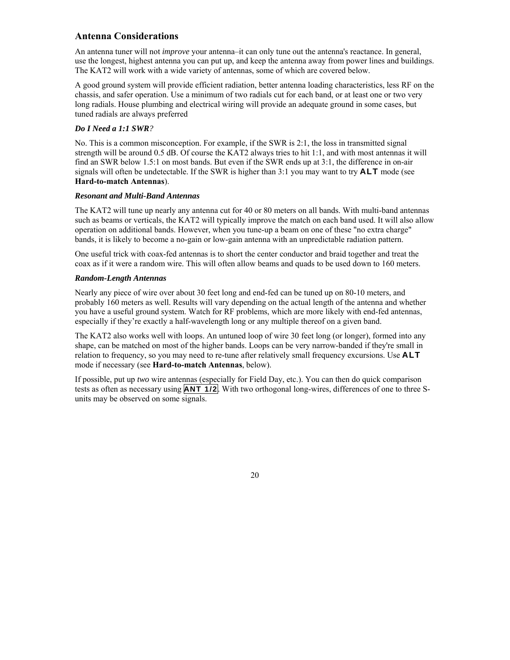# **Antenna Considerations**

An antenna tuner will not *improve* your antenna–it can only tune out the antenna's reactance. In general, use the longest, highest antenna you can put up, and keep the antenna away from power lines and buildings. The KAT2 will work with a wide variety of antennas, some of which are covered below.

A good ground system will provide efficient radiation, better antenna loading characteristics, less RF on the chassis, and safer operation. Use a minimum of two radials cut for each band, or at least one or two very long radials. House plumbing and electrical wiring will provide an adequate ground in some cases, but tuned radials are always preferred

### *Do I Need a 1:1 SWR?*

No. This is a common misconception. For example, if the SWR is 2:1, the loss in transmitted signal strength will be around 0.5 dB. Of course the KAT2 always tries to hit 1:1, and with most antennas it will find an SWR below 1.5:1 on most bands. But even if the SWR ends up at 3:1, the difference in on-air signals will often be undetectable. If the SWR is higher than 3:1 you may want to try **ALT** mode (see **Hard-to-match Antennas**).

### *Resonant and Multi-Band Antennas*

The KAT2 will tune up nearly any antenna cut for 40 or 80 meters on all bands. With multi-band antennas such as beams or verticals, the KAT2 will typically improve the match on each band used. It will also allow operation on additional bands. However, when you tune-up a beam on one of these "no extra charge" bands, it is likely to become a no-gain or low-gain antenna with an unpredictable radiation pattern.

One useful trick with coax-fed antennas is to short the center conductor and braid together and treat the coax as if it were a random wire. This will often allow beams and quads to be used down to 160 meters.

### *Random-Length Antennas*

Nearly any piece of wire over about 30 feet long and end-fed can be tuned up on 80-10 meters, and probably 160 meters as well. Results will vary depending on the actual length of the antenna and whether you have a useful ground system. Watch for RF problems, which are more likely with end-fed antennas, especially if they're exactly a half-wavelength long or any multiple thereof on a given band.

The KAT2 also works well with loops. An untuned loop of wire 30 feet long (or longer), formed into any shape, can be matched on most of the higher bands. Loops can be very narrow-banded if they're small in relation to frequency, so you may need to re-tune after relatively small frequency excursions. Use **ALT** mode if necessary (see **Hard-to-match Antennas**, below).

If possible, put up *two* wire antennas (especially for Field Day, etc.). You can then do quick comparison tests as often as necessary using **ANT 1/2**. With two orthogonal long-wires, differences of one to three Sunits may be observed on some signals.

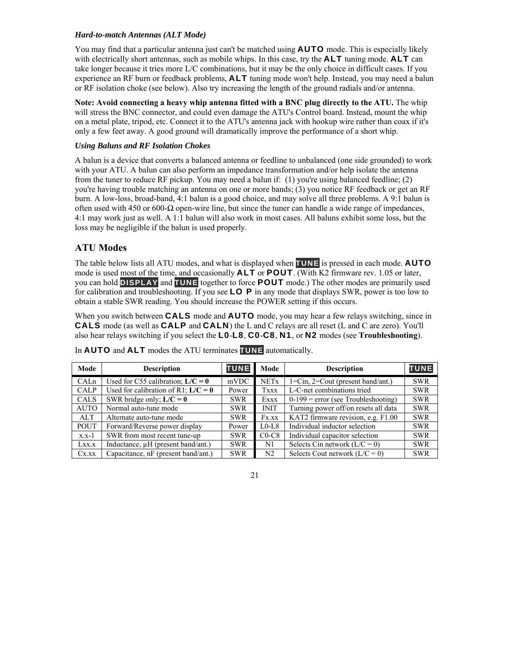### *Hard-to-match Antennas (ALT Mode)*

You may find that a particular antenna just can't be matched using **AUTO** mode. This is especially likely with electrically short antennas, such as mobile whips. In this case, try the **ALT** tuning mode. **ALT** can take longer because it tries more L/C combinations, but it may be the only choice in difficult cases. If you experience an RF burn or feedback problems, **ALT** tuning mode won't help. Instead, you may need a balun or RF isolation choke (see below). Also try increasing the length of the ground radials and/or antenna.

**Note: Avoid connecting a heavy whip antenna fitted with a BNC plug directly to the ATU.** The whip will stress the BNC connector, and could even damage the ATU's Control board. Instead, mount the whip on a metal plate, tripod, etc. Connect it to the ATU's antenna jack with hookup wire rather than coax if it's only a few feet away. A good ground will dramatically improve the performance of a short whip.

### *Using Baluns and RF Isolation Chokes*

A balun is a device that converts a balanced antenna or feedline to unbalanced (one side grounded) to work with your ATU. A balun can also perform an impedance transformation and/or help isolate the antenna from the tuner to reduce RF pickup. You may need a balun if: (1) you're using balanced feedline; (2) you're having trouble matching an antenna on one or more bands; (3) you notice RF feedback or get an RF burn. A low-loss, broad-band, 4:1 balun is a good choice, and may solve all three problems. A 9:1 balun is often used with 450 or 600- $\Omega$  open-wire line, but since the tuner can handle a wide range of impedances, 4:1 may work just as well. A 1:1 balun will also work in most cases. All baluns exhibit some loss, but the loss may be negligible if the balun is used properly.

# **ATU Modes**

The table below lists all ATU modes, and what is displayed when **TUNE** is pressed in each mode. **AUTO** mode is used most of the time, and occasionally **ALT** or **POUT**. (With K2 firmware rev. 1.05 or later, you can hold **DISPLAY** and **TUNE** together to force **POUT** mode.) The other modes are primarily used for calibration and troubleshooting. If you see **LO P** in any mode that displays SWR, power is too low to obtain a stable SWR reading. You should increase the POWER setting if this occurs.

When you switch between **CALS** mode and **AUTO** mode, you may hear a few relays switching, since in **CALS** mode (as well as **CALP** and **CALN**) the L and C relays are all reset (L and C are zero). You'll also hear relays switching if you select the **L0**-**L8**, **C0**-**C8**, **N1**, or **N2** modes (see **Troubleshooting**).

| Mode        | <b>Description</b>                      | <b>TUNE</b> | Mode           | <b>Description</b>                         | <b>TUNE</b> |
|-------------|-----------------------------------------|-------------|----------------|--------------------------------------------|-------------|
| CALn        | Used for C55 calibration; $L/C = 0$     | mVDC        | <b>NETx</b>    | $1 = Cin$ , $2 = Cout$ (present band/ant.) | <b>SWR</b>  |
| <b>CALP</b> | Used for calibration of R1; $L/C = 0$   | Power       | <b>Txxx</b>    | L-C-net combinations tried                 | <b>SWR</b>  |
| <b>CALS</b> | SWR bridge only; $L/C = 0$              | <b>SWR</b>  | Exxx           | $0-199$ = error (see Troubleshooting)      | <b>SWR</b>  |
| <b>AUTO</b> | Normal auto-tune mode                   | <b>SWR</b>  | <b>INIT</b>    | Turning power off/on resets all data       | <b>SWR</b>  |
| <b>ALT</b>  | Alternate auto-tune mode                | <b>SWR</b>  | Fx.xx          | KAT2 firmware revision, e.g. F1.00         | <b>SWR</b>  |
| <b>POUT</b> | Forward/Reverse power display           | Power       | $L0-L8$        | Individual inductor selection              | <b>SWR</b>  |
| $x.x-1$     | SWR from most recent tune-up            | <b>SWR</b>  | $CO-C8$        | Individual capacitor selection             | <b>SWR</b>  |
| Lxx.x       | Inductance, $\mu$ H (present band/ant.) | <b>SWR</b>  | N1             | Selects Cin network $(L/C = 0)$            | <b>SWR</b>  |
| Cx.xx       | Capacitance, nF (present band/ant.)     | <b>SWR</b>  | N <sub>2</sub> | Selects Cout network $(L/C = 0)$           | <b>SWR</b>  |

In **AUTO** and **ALT** modes the ATU terminates **TUNE** automatically.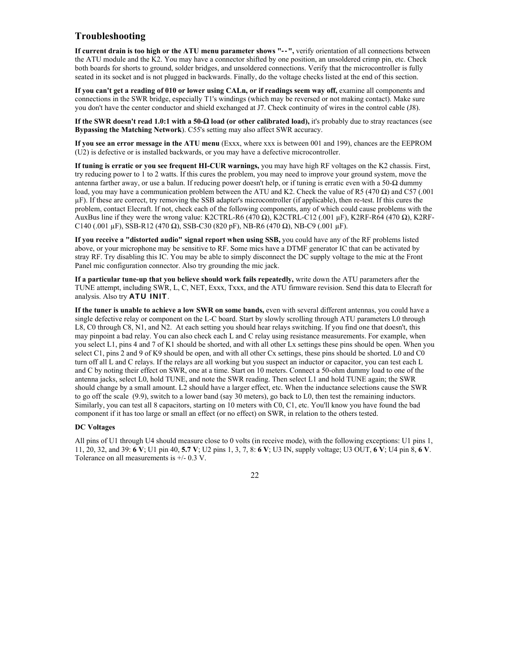# **Troubleshooting**

**If current drain is too high or the ATU menu parameter shows "--",** verify orientation of all connections between the ATU module and the K2. You may have a connector shifted by one position, an unsoldered crimp pin, etc. Check both boards for shorts to ground, solder bridges, and unsoldered connections. Verify that the microcontroller is fully seated in its socket and is not plugged in backwards. Finally, do the voltage checks listed at the end of this section.

**If you can't get a reading of 010 or lower using CALn, or if readings seem way off,** examine all components and connections in the SWR bridge, especially T1's windings (which may be reversed or not making contact). Make sure you don't have the center conductor and shield exchanged at J7. Check continuity of wires in the control cable (J8).

**If the SWR doesn't read 1.0:1 with a 50-Ω load (or other calibrated load),** it's probably due to stray reactances (see **Bypassing the Matching Network**). C55's setting may also affect SWR accuracy.

**If you see an error message in the ATU menu** (Exxx, where xxx is between 001 and 199), chances are the EEPROM (U2) is defective or is installed backwards, or you may have a defective microcontroller.

**If tuning is erratic or you see frequent HI-CUR warnings,** you may have high RF voltages on the K2 chassis. First, try reducing power to 1 to 2 watts. If this cures the problem, you may need to improve your ground system, move the antenna farther away, or use a balun. If reducing power doesn't help, or if tuning is erratic even with a 50-Ω dummy load, you may have a communication problem between the ATU and K2. Check the value of R5 (470 Ω) and C57 (.001 µF). If these are correct, try removing the SSB adapter's microcontroller (if applicable), then re-test. If this cures the problem, contact Elecraft. If not, check each of the following components, any of which could cause problems with the AuxBus line if they were the wrong value: K2CTRL-R6 (470 Ω), K2CTRL-C12 (.001 µF), K2RF-R64 (470 Ω), K2RF-C140 (.001 µF), SSB-R12 (470  $\Omega$ ), SSB-C30 (820 pF), NB-R6 (470  $\Omega$ ), NB-C9 (.001 µF).

**If you receive a "distorted audio" signal report when using SSB,** you could have any of the RF problems listed above, or your microphone may be sensitive to RF. Some mics have a DTMF generator IC that can be activated by stray RF. Try disabling this IC. You may be able to simply disconnect the DC supply voltage to the mic at the Front Panel mic configuration connector. Also try grounding the mic jack.

**If a particular tune-up that you believe should work fails repeatedly,** write down the ATU parameters after the TUNE attempt, including SWR, L, C, NET, Exxx, Txxx, and the ATU firmware revision. Send this data to Elecraft for analysis. Also try **ATU INIT**.

**If the tuner is unable to achieve a low SWR on some bands,** even with several different antennas, you could have a single defective relay or component on the L-C board. Start by slowly scrolling through ATU parameters L0 through L8, C0 through C8, N1, and N2. At each setting you should hear relays switching. If you find one that doesn't, this may pinpoint a bad relay. You can also check each L and C relay using resistance measurements. For example, when you select L1, pins 4 and 7 of K1 should be shorted, and with all other Lx settings these pins should be open. When you select C1, pins 2 and 9 of K9 should be open, and with all other Cx settings, these pins should be shorted. L0 and C0 turn off all L and C relays. If the relays are all working but you suspect an inductor or capacitor, you can test each L and C by noting their effect on SWR, one at a time. Start on 10 meters. Connect a 50-ohm dummy load to one of the antenna jacks, select L0, hold TUNE, and note the SWR reading. Then select L1 and hold TUNE again; the SWR should change by a small amount. L2 should have a larger effect, etc. When the inductance selections cause the SWR to go off the scale (9.9), switch to a lower band (say 30 meters), go back to L0, then test the remaining inductors. Similarly, you can test all 8 capacitors, starting on 10 meters with C0, C1, etc. You'll know you have found the bad component if it has too large or small an effect (or no effect) on SWR, in relation to the others tested.

#### **DC Voltages**

All pins of U1 through U4 should measure close to 0 volts (in receive mode), with the following exceptions: U1 pins 1, 11, 20, 32, and 39: **6 V**; U1 pin 40, **5.7 V**; U2 pins 1, 3, 7, 8: **6 V**; U3 IN, supply voltage; U3 OUT, **6 V**; U4 pin 8, **6 V**. Tolerance on all measurements is +/- 0.3 V.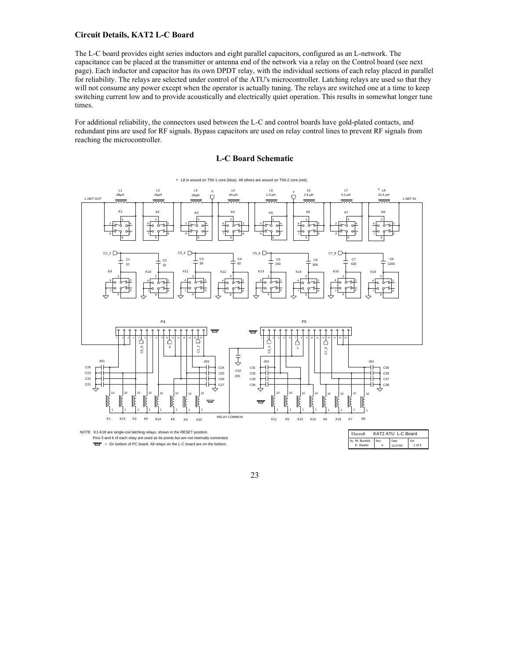#### **Circuit Details, KAT2 L-C Board**

The L-C board provides eight series inductors and eight parallel capacitors, configured as an L-network. The capacitance can be placed at the transmitter or antenna end of the network via a relay on the Control board (see next page). Each inductor and capacitor has its own DPDT relay, with the individual sections of each relay placed in parallel for reliability. The relays are selected under control of the ATU's microcontroller. Latching relays are used so that they will not consume any power except when the operator is actually tuning. The relays are switched one at a time to keep switching current low and to provide acoustically and electrically quiet operation. This results in somewhat longer tune times.

For additional reliability, the connectors used between the L-C and control boards have gold-plated contacts, and redundant pins are used for RF signals. Bypass capacitors are used on relay control lines to prevent RF signals from reaching the microcontroller.



#### **L-C Board Schematic**

23